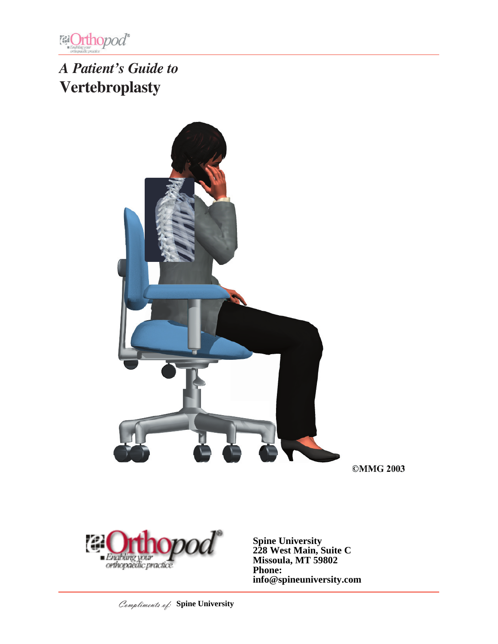

# *A Patient's Guide to* **Vertebroplasty**



**©MMG 2003** 



**Spine University 228 West Main, Suite C Missoula, MT 59802 Phone: info@spineuniversity.com**

Compliments of: **Spine University**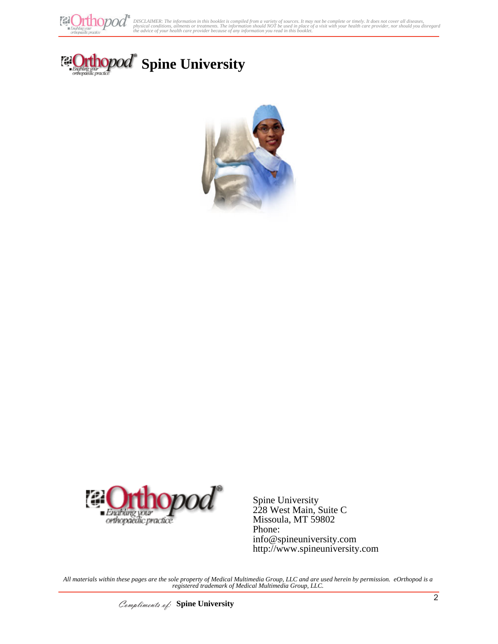

榴

opod





Spine University 228 West Main, Suite C Missoula, MT 59802 Phone: info@spineuniversity.com http://www.spineuniversity.com

*All materials within these pages are the sole property of Medical Multimedia Group, LLC and are used herein by permission. eOrthopod is a registered trademark of Medical Multimedia Group, LLC.*

Compliments of: **Spine University**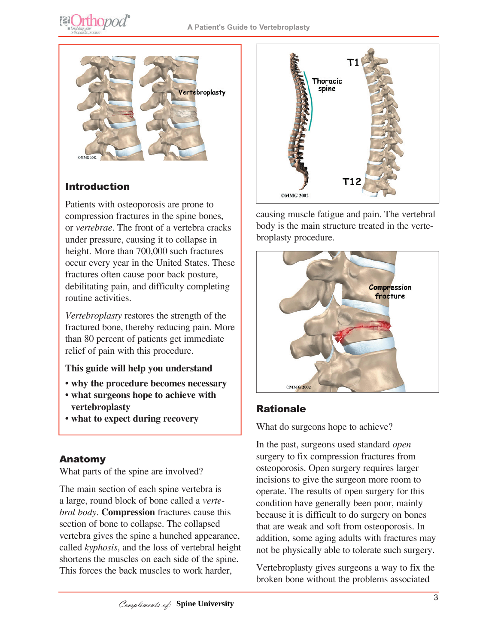**@Orthopod®** 



#### Introduction

Patients with osteoporosis are prone to compression fractures in the spine bones, or *vertebrae*. The front of a vertebra cracks under pressure, causing it to collapse in height. More than 700,000 such fractures occur every year in the United States. These fractures often cause poor back posture, debilitating pain, and difficulty completing routine activities.

*Vertebroplasty* restores the strength of the fractured bone, thereby reducing pain. More than 80 percent of patients get immediate relief of pain with this procedure.

#### **This guide will help you understand**

- **why the procedure becomes necessary**
- **what surgeons hope to achieve with vertebroplasty**
- **what to expect during recovery**

#### Anatomy

What parts of the spine are involved?

The main section of each spine vertebra is a large, round block of bone called a *vertebral body*. **Compression** fractures cause this section of bone to collapse. The collapsed vertebra gives the spine a hunched appearance, called *kyphosis*, and the loss of vertebral height shortens the muscles on each side of the spine. This forces the back muscles to work harder,



causing muscle fatigue and pain. The vertebral body is the main structure treated in the vertebroplasty procedure.



## Rationale

What do surgeons hope to achieve?

In the past, surgeons used standard *open* surgery to fix compression fractures from osteoporosis. Open surgery requires larger incisions to give the surgeon more room to operate. The results of open surgery for this condition have generally been poor, mainly because it is difficult to do surgery on bones that are weak and soft from osteoporosis. In addition, some aging adults with fractures may not be physically able to tolerate such surgery.

Vertebroplasty gives surgeons a way to fix the broken bone without the problems associated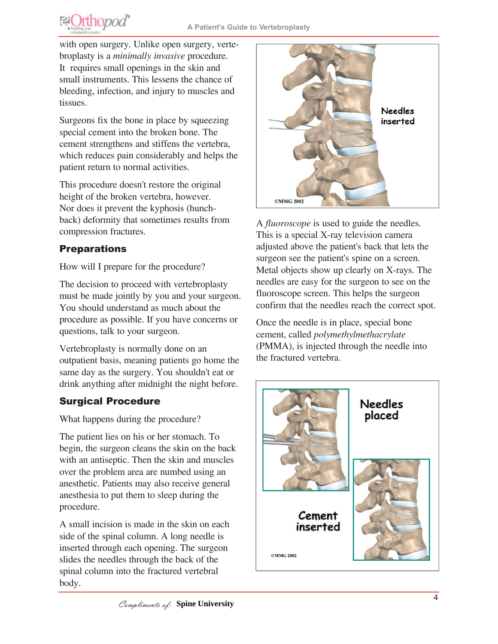

with open surgery. Unlike open surgery, vertebroplasty is a *minimally invasive* procedure. It requires small openings in the skin and small instruments. This lessens the chance of bleeding, infection, and injury to muscles and tissues.

Surgeons fix the bone in place by squeezing special cement into the broken bone. The cement strengthens and stiffens the vertebra, which reduces pain considerably and helps the patient return to normal activities.

This procedure doesn't restore the original height of the broken vertebra, however. Nor does it prevent the kyphosis (hunchback) deformity that sometimes results from compression fractures.

# **Preparations**

How will I prepare for the procedure?

The decision to proceed with vertebroplasty must be made jointly by you and your surgeon. You should understand as much about the procedure as possible. If you have concerns or questions, talk to your surgeon.

Vertebroplasty is normally done on an outpatient basis, meaning patients go home the same day as the surgery. You shouldn't eat or drink anything after midnight the night before.

# Surgical Procedure

What happens during the procedure?

The patient lies on his or her stomach. To begin, the surgeon cleans the skin on the back with an antiseptic. Then the skin and muscles over the problem area are numbed using an anesthetic. Patients may also receive general anesthesia to put them to sleep during the procedure.

A small incision is made in the skin on each side of the spinal column. A long needle is inserted through each opening. The surgeon slides the needles through the back of the spinal column into the fractured vertebral body.



A *fluoroscope* is used to guide the needles. This is a special X-ray television camera adjusted above the patient's back that lets the surgeon see the patient's spine on a screen. Metal objects show up clearly on X-rays. The needles are easy for the surgeon to see on the fluoroscope screen. This helps the surgeon confirm that the needles reach the correct spot.

Once the needle is in place, special bone cement, called *polymethylmethacrylate* (PMMA), is injected through the needle into the fractured vertebra.

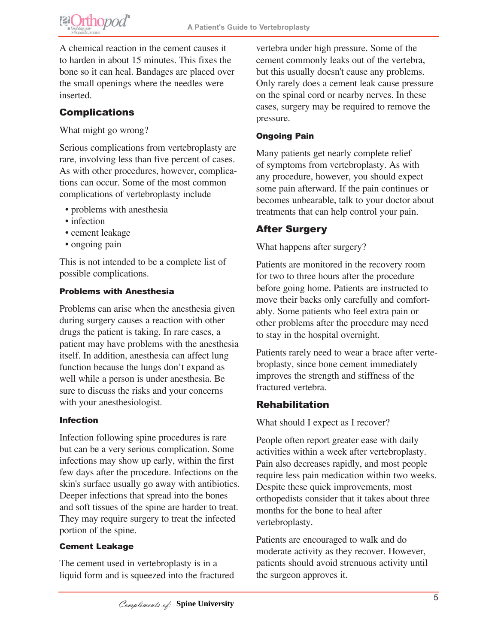

A chemical reaction in the cement causes it to harden in about 15 minutes. This fixes the bone so it can heal. Bandages are placed over the small openings where the needles were inserted.

## **Complications**

What might go wrong?

Serious complications from vertebroplasty are rare, involving less than five percent of cases. As with other procedures, however, complications can occur. Some of the most common complications of vertebroplasty include

- problems with anesthesia
- infection
- cement leakage
- ongoing pain

This is not intended to be a complete list of possible complications.

#### Problems with Anesthesia

Problems can arise when the anesthesia given during surgery causes a reaction with other drugs the patient is taking. In rare cases, a patient may have problems with the anesthesia itself. In addition, anesthesia can affect lung function because the lungs don't expand as well while a person is under anesthesia. Be sure to discuss the risks and your concerns with your anesthesiologist.

#### Infection

Infection following spine procedures is rare but can be a very serious complication. Some infections may show up early, within the first few days after the procedure. Infections on the skin's surface usually go away with antibiotics. Deeper infections that spread into the bones and soft tissues of the spine are harder to treat. They may require surgery to treat the infected portion of the spine.

#### Cement Leakage

The cement used in vertebroplasty is in a liquid form and is squeezed into the fractured vertebra under high pressure. Some of the cement commonly leaks out of the vertebra, but this usually doesn't cause any problems. Only rarely does a cement leak cause pressure on the spinal cord or nearby nerves. In these cases, surgery may be required to remove the pressure.

#### Ongoing Pain

Many patients get nearly complete relief of symptoms from vertebroplasty. As with any procedure, however, you should expect some pain afterward. If the pain continues or becomes unbearable, talk to your doctor about treatments that can help control your pain.

## After Surgery

What happens after surgery?

Patients are monitored in the recovery room for two to three hours after the procedure before going home. Patients are instructed to move their backs only carefully and comfortably. Some patients who feel extra pain or other problems after the procedure may need to stay in the hospital overnight.

Patients rarely need to wear a brace after vertebroplasty, since bone cement immediately improves the strength and stiffness of the fractured vertebra.

#### Rehabilitation

What should I expect as I recover?

People often report greater ease with daily activities within a week after vertebroplasty. Pain also decreases rapidly, and most people require less pain medication within two weeks. Despite these quick improvements, most orthopedists consider that it takes about three months for the bone to heal after vertebroplasty.

Patients are encouraged to walk and do moderate activity as they recover. However, patients should avoid strenuous activity until the surgeon approves it.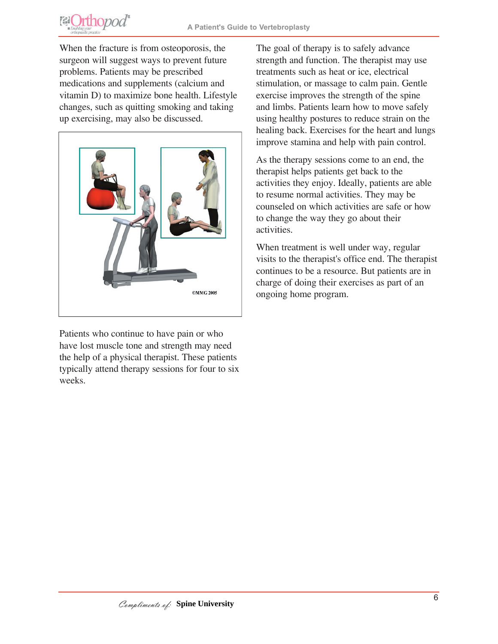

When the fracture is from osteoporosis, the surgeon will suggest ways to prevent future problems. Patients may be prescribed medications and supplements (calcium and vitamin D) to maximize bone health. Lifestyle changes, such as quitting smoking and taking up exercising, may also be discussed.



Patients who continue to have pain or who have lost muscle tone and strength may need the help of a physical therapist. These patients typically attend therapy sessions for four to six weeks.

The goal of therapy is to safely advance strength and function. The therapist may use treatments such as heat or ice, electrical stimulation, or massage to calm pain. Gentle exercise improves the strength of the spine and limbs. Patients learn how to move safely using healthy postures to reduce strain on the healing back. Exercises for the heart and lungs improve stamina and help with pain control.

As the therapy sessions come to an end, the therapist helps patients get back to the activities they enjoy. Ideally, patients are able to resume normal activities. They may be counseled on which activities are safe or how to change the way they go about their activities.

When treatment is well under way, regular visits to the therapist's office end. The therapist continues to be a resource. But patients are in charge of doing their exercises as part of an ongoing home program.